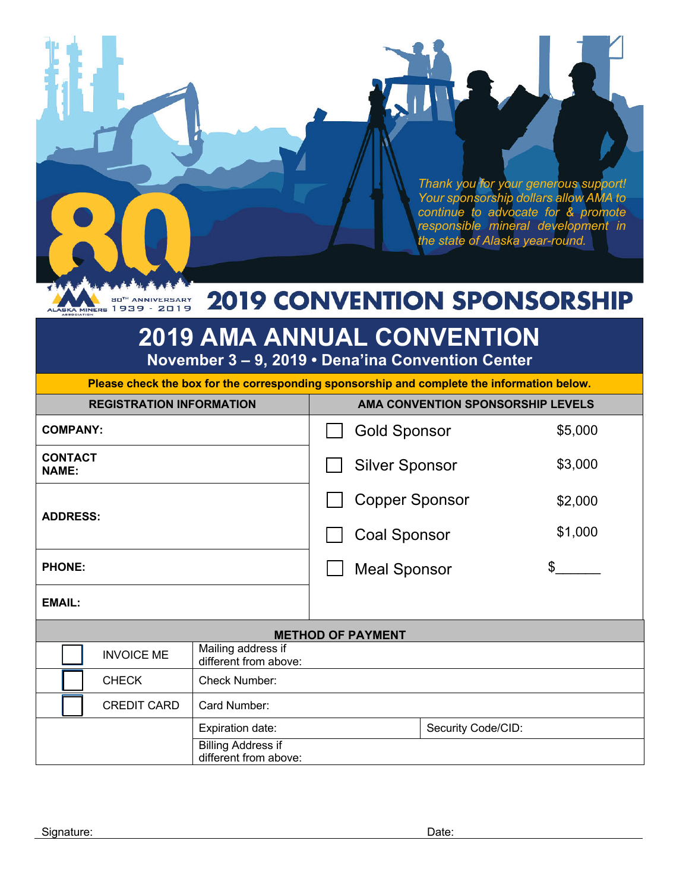*Thank you for your generous support! Your sponsorship dollars allow AMA to continue to advocate for & promote responsible mineral development in the state of Alaska year-round.*

#### BO<sup>TH</sup> ANNIVERSARY **2019 CONVENTION SPONSORSHIP**

# **2019 AMA ANNUAL CONVENTION**

**November 3 – 9, 2019 • Dena'ina Convention Center**

**Please check the box for the corresponding sponsorship and complete the information below.** 

| <b>REGISTRATION INFORMATION</b> |                    |                                                    |                       | AMA CONVENTION SPONSORSHIP LEVELS |         |         |  |
|---------------------------------|--------------------|----------------------------------------------------|-----------------------|-----------------------------------|---------|---------|--|
| <b>COMPANY:</b>                 |                    |                                                    |                       | <b>Gold Sponsor</b>               |         | \$5,000 |  |
| <b>CONTACT</b><br><b>NAME:</b>  |                    |                                                    | <b>Silver Sponsor</b> |                                   | \$3,000 |         |  |
| <b>ADDRESS:</b>                 |                    |                                                    | <b>Copper Sponsor</b> |                                   | \$2,000 |         |  |
|                                 |                    |                                                    | <b>Coal Sponsor</b>   |                                   | \$1,000 |         |  |
| <b>PHONE:</b>                   |                    |                                                    | <b>Meal Sponsor</b>   |                                   | \$      |         |  |
| <b>EMAIL:</b>                   |                    |                                                    |                       |                                   |         |         |  |
| <b>METHOD OF PAYMENT</b>        |                    |                                                    |                       |                                   |         |         |  |
|                                 | <b>INVOICE ME</b>  | Mailing address if<br>different from above:        |                       |                                   |         |         |  |
|                                 | <b>CHECK</b>       | Check Number:                                      |                       |                                   |         |         |  |
|                                 | <b>CREDIT CARD</b> | Card Number:                                       |                       |                                   |         |         |  |
| Expiration date:                |                    | Security Code/CID:                                 |                       |                                   |         |         |  |
|                                 |                    | <b>Billing Address if</b><br>different from above: |                       |                                   |         |         |  |